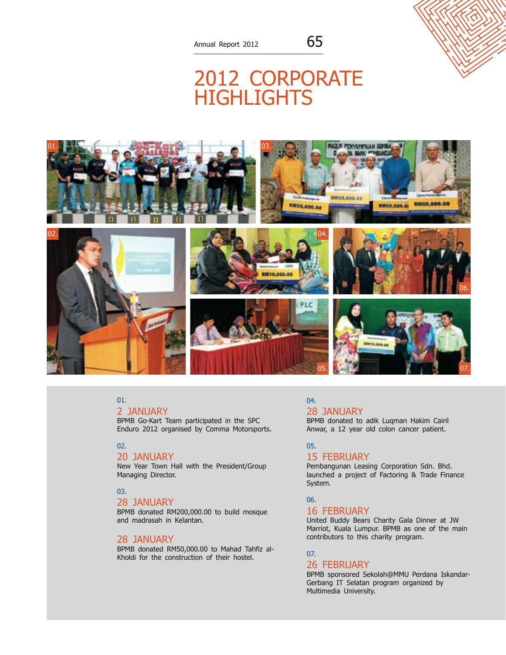# 2012 CORPO **HIGHLIGHT**



### 01.

#### 2 January

BPMB Go-Kart Team participated in the SPC Enduro 2012 organised by Comma Motorsports.

### 02.

#### 20 January

New Year Town Hall with the President/Group Managing Director.

### 03.

### 28 January

BPMB donated RM200,000.00 to build mosque and madrasah in Kelantan.

### 28 January

BPMB donated RM50,000.00 to Mahad Tahfiz al-Kholdi for the construction of their hostel.

### 04. 28 January

BPMB donated to adik Luqman Hakim Cairil Anwar, a 12 year old colon cancer patient.

### 05.

#### 15 February

Pembangunan Leasing Corporation Sdn. Bhd. launched a project of Factoring & Trade Finance System.

### 06.

### 16 February

United Buddy Bears Charity Gala Dinner at JW Marriot, Kuala Lumpur. BPMB as one of the main contributors to this charity program.

#### 07.

### 26 February

BPMB sponsored Sekolah@MMU Perdana Iskandar-Gerbang IT Selatan program organized by Multimedia University.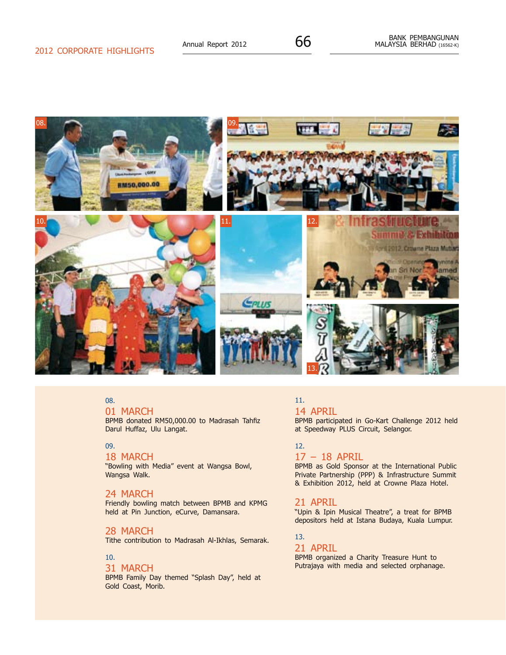

01 MARCH

BPMB donated RM50,000.00 to Madrasah Tahfiz Darul Huffaz, Ulu Langat.

### 09.

#### 18 March

"Bowling with Media" event at Wangsa Bowl, Wangsa Walk.

### 24 MARCH

Friendly bowling match between BPMB and KPMG held at Pin Junction, eCurve, Damansara.

### 28 MARCH

Tithe contribution to Madrasah Al-Ikhlas, Semarak.

### 10.

31 MARCH

BPMB Family Day themed "Splash Day", held at Gold Coast, Morib.

### 11.

### 14 April

BPMB participated in Go-Kart Challenge 2012 held at Speedway PLUS Circuit, Selangor.

### 12.

### 17 – 18 April

BPMB as Gold Sponsor at the International Public Private Partnership (PPP) & Infrastructure Summit & Exhibition 2012, held at Crowne Plaza Hotel.

### 21 April

"Upin & Ipin Musical Theatre", a treat for BPMB depositors held at Istana Budaya, Kuala Lumpur.

### 13.

### 21 April

BPMB organized a Charity Treasure Hunt to Putrajaya with media and selected orphanage.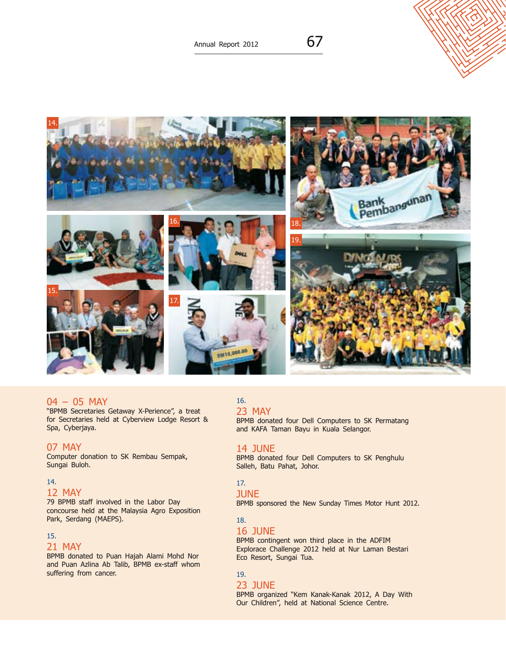Annual Report 2012  $\overline{67}$ 



#### 04 – 05 May

"BPMB Secretaries Getaway X-Perience", a treat for Secretaries held at Cyberview Lodge Resort & Spa, Cyberjaya.

### 07 May

Computer donation to SK Rembau Sempak, Sungai Buloh.

### 14.

### 12 May

79 BPMB staff involved in the Labor Day concourse held at the Malaysia Agro Exposition Park, Serdang (MAEPS).

### 15.

### 21 May

BPMB donated to Puan Hajah Alami Mohd Nor and Puan Azlina Ab Talib, BPMB ex-staff whom suffering from cancer.

### 16. 23 May

BPMB donated four Dell Computers to SK Permatang and KAFA Taman Bayu in Kuala Selangor.

#### 14 June

BPMB donated four Dell Computers to SK Penghulu Salleh, Batu Pahat, Johor.

### 17.

### **JUNE**

BPMB sponsored the New Sunday Times Motor Hunt 2012.

### 18.

### 16 June

BPMB contingent won third place in the ADFIM Explorace Challenge 2012 held at Nur Laman Bestari Eco Resort, Sungai Tua.

### 19.

### 23 June

BPMB organized "Kem Kanak-Kanak 2012, A Day With Our Children", held at National Science Centre.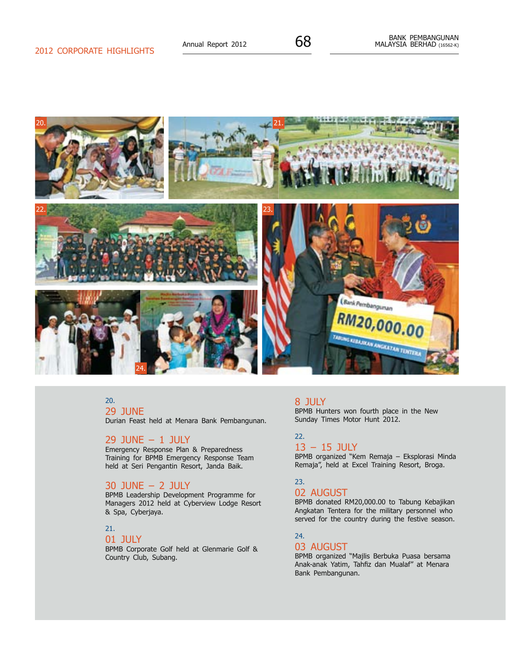

29 June

Durian Feast held at Menara Bank Pembangunan.

### 29 June – 1 July

Emergency Response Plan & Preparedness Training for BPMB Emergency Response Team held at Seri Pengantin Resort, Janda Baik.

### 30 June – 2 July

BPMB Leadership Development Programme for Managers 2012 held at Cyberview Lodge Resort & Spa, Cyberjaya.

### 21.

### 01 July

BPMB Corporate Golf held at Glenmarie Golf & Country Club, Subang.

### 8 July

BPMB Hunters won fourth place in the New Sunday Times Motor Hunt 2012.

### 22. 13 – 15 July

BPMB organized "Kem Remaja – Eksplorasi Minda Remaja", held at Excel Training Resort, Broga.

### 23.

### 02 AUGUST

BPMB donated RM20,000.00 to Tabung Kebajikan Angkatan Tentera for the military personnel who served for the country during the festive season.

### 24.

### 03 AUGUST

BPMB organized "Majlis Berbuka Puasa bersama Anak-anak Yatim, Tahfiz dan Mualaf" at Menara Bank Pembangunan.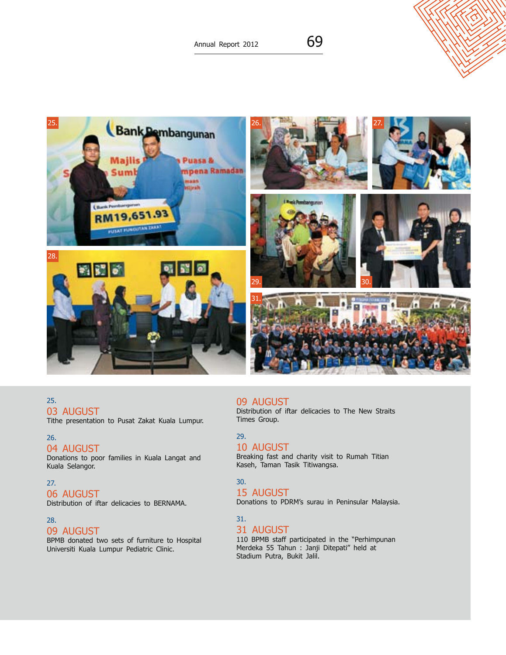Annual Report 2012  $69$ 



### 25. 03 AUGUST

Tithe presentation to Pusat Zakat Kuala Lumpur.

### 26.

### 04 AUGUST

Donations to poor families in Kuala Langat and Kuala Selangor.

### 27.

06 AUGUST Distribution of iftar delicacies to BERNAMA.

### 28.

### 09 August

BPMB donated two sets of furniture to Hospital Universiti Kuala Lumpur Pediatric Clinic.

### 09 August

Distribution of iftar delicacies to The New Straits Times Group.

### 29. 10 August

Breaking fast and charity visit to Rumah Titian Kaseh, Taman Tasik Titiwangsa.

### 30.

### 15 August

Donations to PDRM's surau in Peninsular Malaysia.

### 31.

31 AUGUST 110 BPMB staff participated in the "Perhimpunan

Merdeka 55 Tahun : Janji Ditepati" held at Stadium Putra, Bukit Jalil.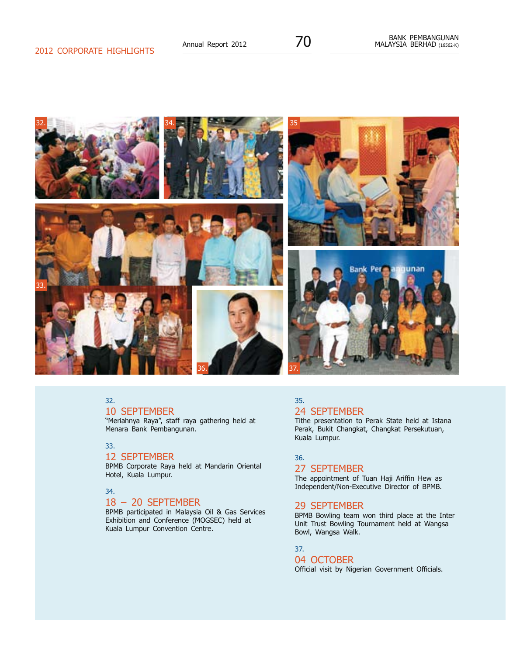

### 10 September

"Meriahnya Raya", staff raya gathering held at Menara Bank Pembangunan.

### 33.

### 12 September

BPMB Corporate Raya held at Mandarin Oriental Hotel, Kuala Lumpur.

### 34.

### 18 – 20 September

BPMB participated in Malaysia Oil & Gas Services Exhibition and Conference (MOGSEC) held at Kuala Lumpur Convention Centre.

### 35. 24 September

Tithe presentation to Perak State held at Istana Perak, Bukit Changkat, Changkat Persekutuan, Kuala Lumpur.

#### 36.

### 27 September

The appointment of Tuan Haji Ariffin Hew as Independent/Non-Executive Director of BPMB.

### 29 September

BPMB Bowling team won third place at the Inter Unit Trust Bowling Tournament held at Wangsa Bowl, Wangsa Walk.

### 37.

## 04 OCTOBER

Official visit by Nigerian Government Officials.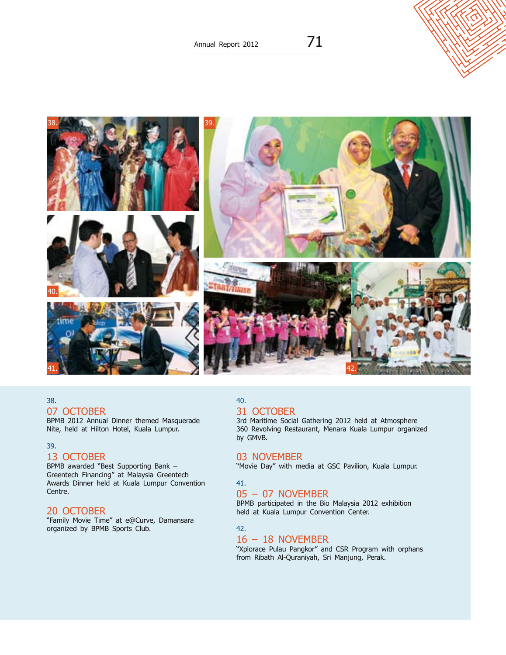

07 OCTOBER

BPMB 2012 Annual Dinner themed Masquerade Nite, held at Hilton Hotel, Kuala Lumpur.

### 39.

### 13 OCTOBER

BPMB awarded "Best Supporting Bank – Greentech Financing" at Malaysia Greentech Awards Dinner held at Kuala Lumpur Convention Centre.

### 20 OCTOBER

"Family Movie Time" at e@Curve, Damansara organized by BPMB Sports Club.

### 40.

### 31 OCTOBER

3rd Maritime Social Gathering 2012 held at Atmosphere 360 Revolving Restaurant, Menara Kuala Lumpur organized by GMVB.

### 03 NOVEMBER

"Movie Day" with media at GSC Pavilion, Kuala Lumpur.

### 41.

### 05 – 07 November

BPMB participated in the Bio Malaysia 2012 exhibition held at Kuala Lumpur Convention Center.

42.

### $16 - 18$  NOVEMBER

"Xplorace Pulau Pangkor" and CSR Program with orphans from Ribath Al-Quraniyah, Sri Manjung, Perak.